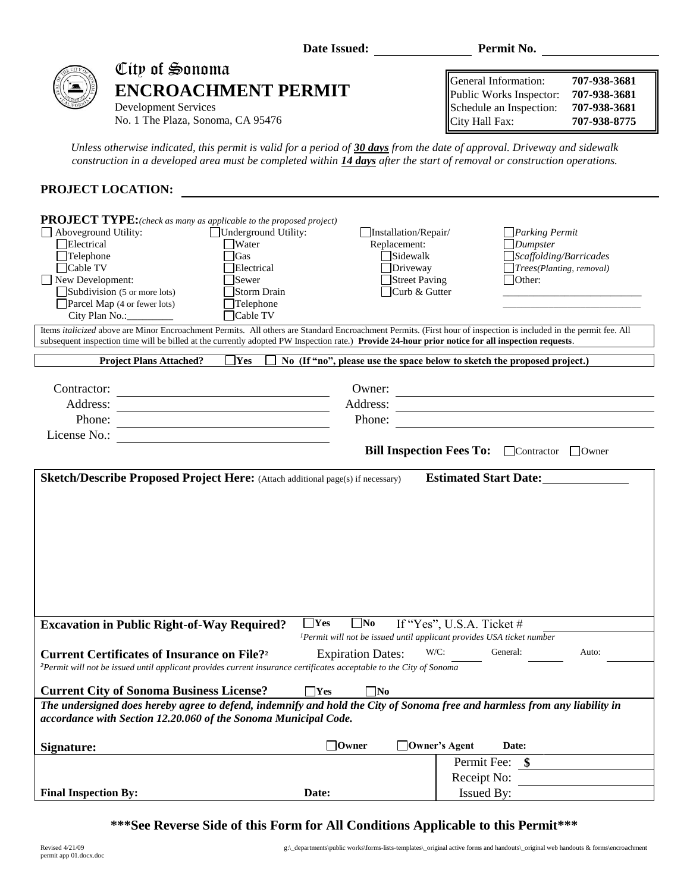

City of Sonoma **ENCROACHMENT PERMIT**

Development Services No. 1 The Plaza, Sonoma, CA 95476 General Information: **707-938-3681** Public Works Inspector: **707-938-3681** Schedule an Inspection: **707-938-3681** City Hall Fax: **707-938-8775**

*Unless otherwise indicated, this permit is valid for a period of 30 days from the date of approval. Driveway and sidewalk construction in a developed area must be completed within 14 days after the start of removal or construction operations.*

# **PROJECT LOCATION:**

| <b>PROJECT TYPE:</b> (check as many as applicable to the proposed project)                                                                                                                                                                                                                                             |                                                                  |                                                                                                                               |                                 |
|------------------------------------------------------------------------------------------------------------------------------------------------------------------------------------------------------------------------------------------------------------------------------------------------------------------------|------------------------------------------------------------------|-------------------------------------------------------------------------------------------------------------------------------|---------------------------------|
| Aboveground Utility:                                                                                                                                                                                                                                                                                                   | $\Box$ Underground Utility:                                      | Installation/Repair/                                                                                                          | $\Box$ Parking Permit           |
| Electrical                                                                                                                                                                                                                                                                                                             | <b>Water</b>                                                     | Replacement:                                                                                                                  | $\Box$ Dumpster                 |
| $\Box$ Telephone                                                                                                                                                                                                                                                                                                       | $\Box$ Gas                                                       | Sidewalk                                                                                                                      | $\Box$ Scaffolding/Barricades   |
| Cable TV                                                                                                                                                                                                                                                                                                               | Electrical                                                       | Driveway                                                                                                                      | $\Box$ Trees(Planting, removal) |
| New Development:                                                                                                                                                                                                                                                                                                       | $\exists$ Sewer                                                  | Street Paving                                                                                                                 | Other:                          |
| Subdivision $(5 \text{ or more lots})$                                                                                                                                                                                                                                                                                 | Storm Drain                                                      | Curb & Gutter                                                                                                                 |                                 |
| Parcel Map (4 or fewer lots)                                                                                                                                                                                                                                                                                           | Telephone                                                        |                                                                                                                               |                                 |
| City Plan No.:                                                                                                                                                                                                                                                                                                         | $\Box$ Cable TV                                                  |                                                                                                                               |                                 |
| Items italicized above are Minor Encroachment Permits. All others are Standard Encroachment Permits. (First hour of inspection is included in the permit fee. All<br>subsequent inspection time will be billed at the currently adopted PW Inspection rate.) Provide 24-hour prior notice for all inspection requests. |                                                                  |                                                                                                                               |                                 |
| <b>Project Plans Attached?</b>                                                                                                                                                                                                                                                                                         | $\Box$ Yes<br>$\perp$                                            | No (If "no", please use the space below to sketch the proposed project.)                                                      |                                 |
|                                                                                                                                                                                                                                                                                                                        |                                                                  |                                                                                                                               |                                 |
| Contractor:                                                                                                                                                                                                                                                                                                            |                                                                  | Owner:                                                                                                                        |                                 |
| Address:                                                                                                                                                                                                                                                                                                               | <u> 1989 - Johann Stein, mars an t-Amerikaansk kommunister (</u> | Address:                                                                                                                      |                                 |
| Phone:                                                                                                                                                                                                                                                                                                                 |                                                                  | Phone:                                                                                                                        |                                 |
| License No.:                                                                                                                                                                                                                                                                                                           |                                                                  |                                                                                                                               |                                 |
| <b>Bill Inspection Fees To:</b><br>$\Box$ Contractor $\Box$ Owner                                                                                                                                                                                                                                                      |                                                                  |                                                                                                                               |                                 |
|                                                                                                                                                                                                                                                                                                                        |                                                                  |                                                                                                                               |                                 |
|                                                                                                                                                                                                                                                                                                                        |                                                                  |                                                                                                                               |                                 |
| <b>Excavation in Public Right-of-Way Required?</b>                                                                                                                                                                                                                                                                     | $\Box$ Yes                                                       | $\vert$  No<br>If "Yes", U.S.A. Ticket #<br><sup>1</sup> Permit will not be issued until applicant provides USA ticket number |                                 |
| <b>Current Certificates of Insurance on File?</b> <sup>2</sup>                                                                                                                                                                                                                                                         |                                                                  | $W/C$ :<br><b>Expiration Dates:</b>                                                                                           | General:<br>Auto:               |
| <sup>2</sup> Permit will not be issued until applicant provides current insurance certificates acceptable to the City of Sonoma                                                                                                                                                                                        |                                                                  |                                                                                                                               |                                 |
|                                                                                                                                                                                                                                                                                                                        |                                                                  |                                                                                                                               |                                 |
| <b>Current City of Sonoma Business License?</b>                                                                                                                                                                                                                                                                        | Yes                                                              | $\Box$ No                                                                                                                     |                                 |
| The undersigned does hereby agree to defend, indemnify and hold the City of Sonoma free and harmless from any liability in                                                                                                                                                                                             |                                                                  |                                                                                                                               |                                 |
| accordance with Section 12.20.060 of the Sonoma Municipal Code.                                                                                                                                                                                                                                                        |                                                                  |                                                                                                                               |                                 |
| Signature:                                                                                                                                                                                                                                                                                                             |                                                                  | $\Box$ Owner<br>$\Box$ Owner's Agent                                                                                          | Date:                           |
|                                                                                                                                                                                                                                                                                                                        |                                                                  |                                                                                                                               | Permit Fee: \$                  |
|                                                                                                                                                                                                                                                                                                                        |                                                                  |                                                                                                                               |                                 |
|                                                                                                                                                                                                                                                                                                                        |                                                                  |                                                                                                                               |                                 |
| <b>Final Inspection By:</b>                                                                                                                                                                                                                                                                                            | Date:                                                            |                                                                                                                               | Receipt No:<br>Issued By:       |

**\*\*\*See Reverse Side of this Form for All Conditions Applicable to this Permit\*\*\***